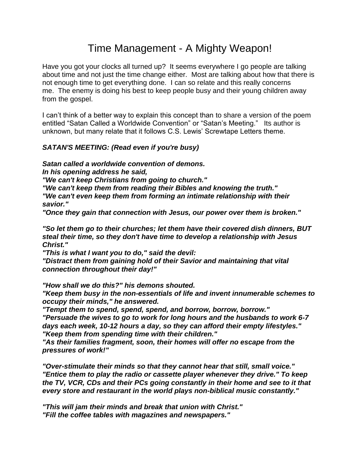## Time Management - A Mighty Weapon!

Have you got your clocks all turned up? It seems everywhere I go people are talking about time and not just the time change either. Most are talking about how that there is not enough time to get everything done. I can so relate and this really concerns me. The enemy is doing his best to keep people busy and their young children away from the gospel.

I can't think of a better way to explain this concept than to share a version of the poem entitled "Satan Called a Worldwide Convention" or "Satan's Meeting." Its author is unknown, but many relate that it follows C.S. Lewis' Screwtape Letters theme.

## *SATAN'S MEETING: (Read even if you're busy)*

*Satan called a worldwide convention of demons.*

*In his opening address he said,*

*"We can't keep Christians from going to church."*

*"We can't keep them from reading their Bibles and knowing the truth." "We can't even keep them from forming an intimate relationship with their savior."*

*"Once they gain that connection with Jesus, our power over them is broken."*

*"So let them go to their churches; let them have their covered dish dinners, BUT steal their time, so they don't have time to develop a relationship with Jesus Christ."*

*"This is what I want you to do," said the devil:*

*"Distract them from gaining hold of their Savior and maintaining that vital connection throughout their day!"*

*"How shall we do this?" his demons shouted.*

*"Keep them busy in the non-essentials of life and invent innumerable schemes to occupy their minds," he answered.*

*"Tempt them to spend, spend, spend, and borrow, borrow, borrow." "Persuade the wives to go to work for long hours and the husbands to work 6-7 days each week, 10-12 hours a day, so they can afford their empty lifestyles." "Keep them from spending time with their children."*

*"As their families fragment, soon, their homes will offer no escape from the pressures of work!"*

*"Over-stimulate their minds so that they cannot hear that still, small voice." "Entice them to play the radio or cassette player whenever they drive." To keep the TV, VCR, CDs and their PCs going constantly in their home and see to it that every store and restaurant in the world plays non-biblical music constantly."*

*"This will jam their minds and break that union with Christ." "Fill the coffee tables with magazines and newspapers."*